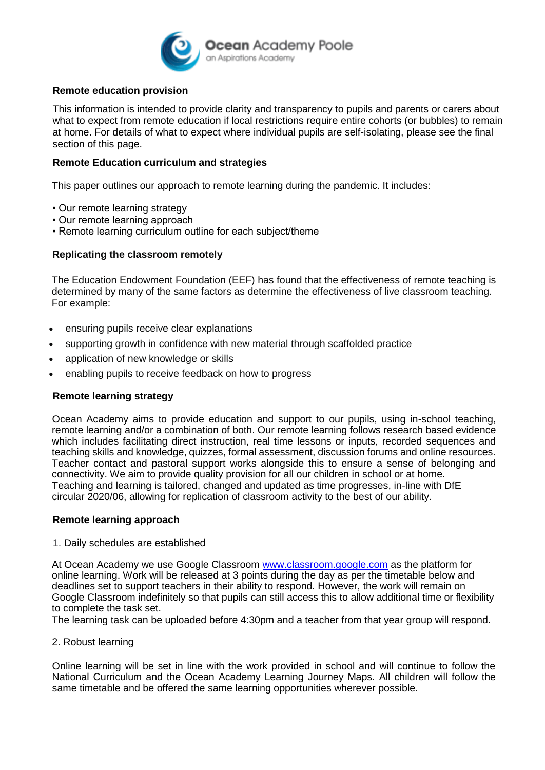

#### **Remote education provision**

This information is intended to provide clarity and transparency to pupils and parents or carers about what to expect from remote education if local restrictions require entire cohorts (or bubbles) to remain at home. For details of what to expect where individual pupils are self-isolating, please see the final section of this page.

#### **Remote Education curriculum and strategies**

This paper outlines our approach to remote learning during the pandemic. It includes:

- Our remote learning strategy
- Our remote learning approach
- Remote learning curriculum outline for each subject/theme

### **Replicating the classroom remotely**

The Education Endowment Foundation (EEF) has found that the effectiveness of remote teaching is determined by many of the same factors as determine the effectiveness of live classroom teaching. For example:

- ensuring pupils receive clear explanations
- supporting growth in confidence with new material through scaffolded practice
- application of new knowledge or skills
- enabling pupils to receive feedback on how to progress

#### **Remote learning strategy**

Ocean Academy aims to provide education and support to our pupils, using in-school teaching, remote learning and/or a combination of both. Our remote learning follows research based evidence which includes facilitating direct instruction, real time lessons or inputs, recorded sequences and teaching skills and knowledge, quizzes, formal assessment, discussion forums and online resources. Teacher contact and pastoral support works alongside this to ensure a sense of belonging and connectivity. We aim to provide quality provision for all our children in school or at home. Teaching and learning is tailored, changed and updated as time progresses, in-line with DfE circular 2020/06, allowing for replication of classroom activity to the best of our ability.

#### **Remote learning approach**

1. Daily schedules are established

At Ocean Academy we use Google Classroom [www.classroom.google.com](http://www.classroom.google.com/) as the platform for online learning. Work will be released at 3 points during the day as per the timetable below and deadlines set to support teachers in their ability to respond. However, the work will remain on Google Classroom indefinitely so that pupils can still access this to allow additional time or flexibility to complete the task set.

The learning task can be uploaded before 4:30pm and a teacher from that year group will respond.

2. Robust learning

Online learning will be set in line with the work provided in school and will continue to follow the National Curriculum and the Ocean Academy Learning Journey Maps. All children will follow the same timetable and be offered the same learning opportunities wherever possible.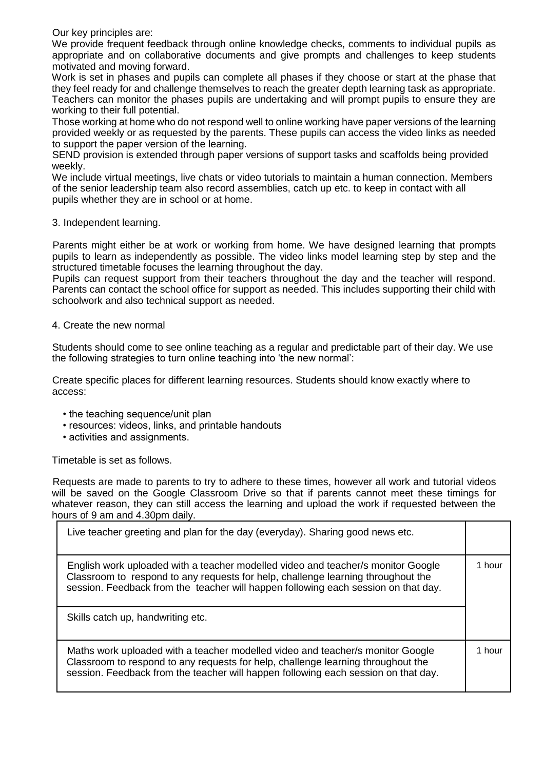Our key principles are:

We provide frequent feedback through online knowledge checks, comments to individual pupils as appropriate and on collaborative documents and give prompts and challenges to keep students motivated and moving forward.

Work is set in phases and pupils can complete all phases if they choose or start at the phase that they feel ready for and challenge themselves to reach the greater depth learning task as appropriate. Teachers can monitor the phases pupils are undertaking and will prompt pupils to ensure they are working to their full potential.

Those working at home who do not respond well to online working have paper versions of the learning provided weekly or as requested by the parents. These pupils can access the video links as needed to support the paper version of the learning.

SEND provision is extended through paper versions of support tasks and scaffolds being provided weekly.

We include virtual meetings, live chats or video tutorials to maintain a human connection. Members of the senior leadership team also record assemblies, catch up etc. to keep in contact with all pupils whether they are in school or at home.

#### 3. Independent learning.

Parents might either be at work or working from home. We have designed learning that prompts pupils to learn as independently as possible. The video links model learning step by step and the structured timetable focuses the learning throughout the day.

Pupils can request support from their teachers throughout the day and the teacher will respond. Parents can contact the school office for support as needed. This includes supporting their child with schoolwork and also technical support as needed.

#### 4. Create the new normal

Students should come to see online teaching as a regular and predictable part of their day. We use the following strategies to turn online teaching into 'the new normal':

Create specific places for different learning resources. Students should know exactly where to access:

- the teaching sequence/unit plan
- resources: videos, links, and printable handouts
- activities and assignments.

Timetable is set as follows.

Requests are made to parents to try to adhere to these times, however all work and tutorial videos will be saved on the Google Classroom Drive so that if parents cannot meet these timings for whatever reason, they can still access the learning and upload the work if requested between the hours of 9 am and 4.30pm daily.

| Live teacher greeting and plan for the day (everyday). Sharing good news etc.                                                                                                                                                                              |        |
|------------------------------------------------------------------------------------------------------------------------------------------------------------------------------------------------------------------------------------------------------------|--------|
| English work uploaded with a teacher modelled video and teacher/s monitor Google<br>Classroom to respond to any requests for help, challenge learning throughout the<br>session. Feedback from the teacher will happen following each session on that day. | 1 hour |
| Skills catch up, handwriting etc.                                                                                                                                                                                                                          |        |
| Maths work uploaded with a teacher modelled video and teacher/s monitor Google<br>Classroom to respond to any requests for help, challenge learning throughout the<br>session. Feedback from the teacher will happen following each session on that day.   | 1 hour |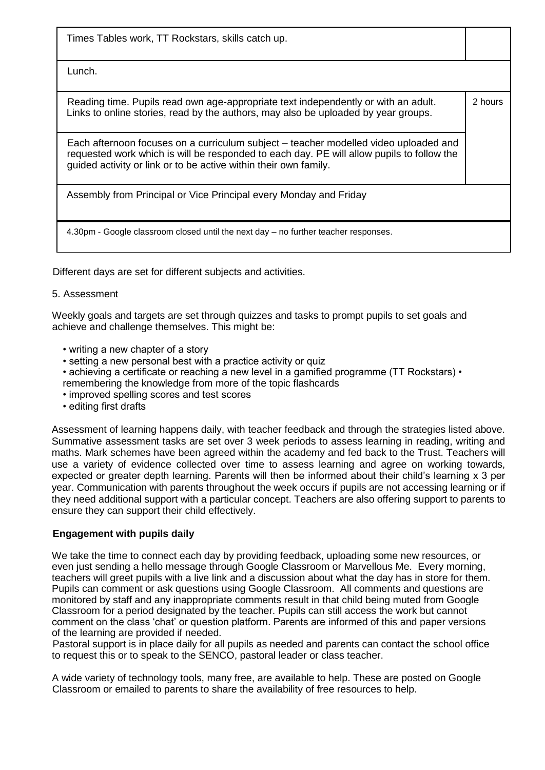Times Tables work, TT Rockstars, skills catch up.

Lunch.

Reading time. Pupils read own age-appropriate text independently or with an adult. Links to online stories, read by the authors, may also be uploaded by year groups. 2 hours

Each afternoon focuses on a curriculum subject – teacher modelled video uploaded and requested work which is will be responded to each day. PE will allow pupils to follow the guided activity or link or to be active within their own family.

Assembly from Principal or Vice Principal every Monday and Friday

4.30pm - Google classroom closed until the next day – no further teacher responses.

Different days are set for different subjects and activities.

#### 5. Assessment

Weekly goals and targets are set through quizzes and tasks to prompt pupils to set goals and achieve and challenge themselves. This might be:

- writing a new chapter of a story
- setting a new personal best with a practice activity or quiz
- achieving a certificate or reaching a new level in a gamified programme (TT Rockstars) remembering the knowledge from more of the topic flashcards
- improved spelling scores and test scores
- editing first drafts

Assessment of learning happens daily, with teacher feedback and through the strategies listed above. Summative assessment tasks are set over 3 week periods to assess learning in reading, writing and maths. Mark schemes have been agreed within the academy and fed back to the Trust. Teachers will use a variety of evidence collected over time to assess learning and agree on working towards, expected or greater depth learning. Parents will then be informed about their child's learning x 3 per year. Communication with parents throughout the week occurs if pupils are not accessing learning or if they need additional support with a particular concept. Teachers are also offering support to parents to ensure they can support their child effectively.

## **Engagement with pupils daily**

We take the time to connect each day by providing feedback, uploading some new resources, or even just sending a hello message through Google Classroom or Marvellous Me. Every morning, teachers will greet pupils with a live link and a discussion about what the day has in store for them. Pupils can comment or ask questions using Google Classroom. All comments and questions are monitored by staff and any inappropriate comments result in that child being muted from Google Classroom for a period designated by the teacher. Pupils can still access the work but cannot comment on the class 'chat' or question platform. Parents are informed of this and paper versions of the learning are provided if needed.

Pastoral support is in place daily for all pupils as needed and parents can contact the school office to request this or to speak to the SENCO, pastoral leader or class teacher.

A wide variety of technology tools, many free, are available to help. These are posted on Google Classroom or emailed to parents to share the availability of free resources to help.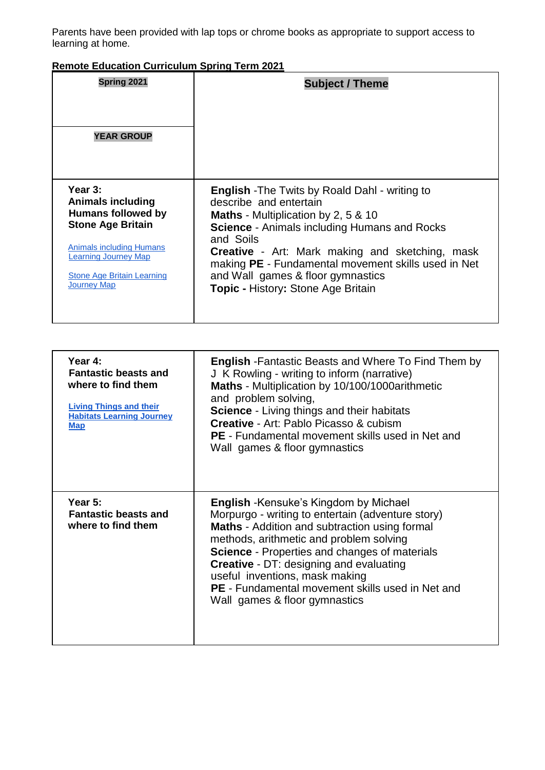Parents have been provided with lap tops or chrome books as appropriate to support access to learning at home.

# **Remote Education Curriculum Spring Term 2021**

| Spring 2021                                                                                                                                                                                                               | <b>Subject / Theme</b>                                                                                                                                                                                                                                                                                                                                                                        |
|---------------------------------------------------------------------------------------------------------------------------------------------------------------------------------------------------------------------------|-----------------------------------------------------------------------------------------------------------------------------------------------------------------------------------------------------------------------------------------------------------------------------------------------------------------------------------------------------------------------------------------------|
| <b>YEAR GROUP</b>                                                                                                                                                                                                         |                                                                                                                                                                                                                                                                                                                                                                                               |
| Year 3:<br><b>Animals including</b><br><b>Humans followed by</b><br><b>Stone Age Britain</b><br><b>Animals including Humans</b><br><b>Learning Journey Map</b><br><b>Stone Age Britain Learning</b><br><b>Journey Map</b> | <b>English</b> - The Twits by Roald Dahl - writing to<br>describe and entertain<br><b>Maths</b> - Multiplication by 2, 5 & 10<br><b>Science - Animals including Humans and Rocks</b><br>and Soils<br><b>Creative</b> - Art: Mark making and sketching, mask<br>making PE - Fundamental movement skills used in Net<br>and Wall games & floor gymnastics<br>Topic - History: Stone Age Britain |

| Year 4:<br><b>Fantastic beasts and</b><br>where to find them<br><b>Living Things and their</b><br><b>Habitats Learning Journey</b><br><b>Map</b> | <b>English</b> - Fantastic Beasts and Where To Find Them by<br>J K Rowling - writing to inform (narrative)<br>Maths - Multiplication by 10/100/1000arithmetic<br>and problem solving,<br><b>Science</b> - Living things and their habitats<br>Creative - Art: Pablo Picasso & cubism<br><b>PE</b> - Fundamental movement skills used in Net and<br>Wall games & floor gymnastics                                                       |
|--------------------------------------------------------------------------------------------------------------------------------------------------|----------------------------------------------------------------------------------------------------------------------------------------------------------------------------------------------------------------------------------------------------------------------------------------------------------------------------------------------------------------------------------------------------------------------------------------|
| Year $5$ :<br><b>Fantastic beasts and</b><br>where to find them                                                                                  | <b>English</b> - Kensuke's Kingdom by Michael<br>Morpurgo - writing to entertain (adventure story)<br><b>Maths</b> - Addition and subtraction using formal<br>methods, arithmetic and problem solving<br>Science - Properties and changes of materials<br><b>Creative</b> - DT: designing and evaluating<br>useful inventions, mask making<br><b>PE</b> - Fundamental movement skills used in Net and<br>Wall games & floor gymnastics |